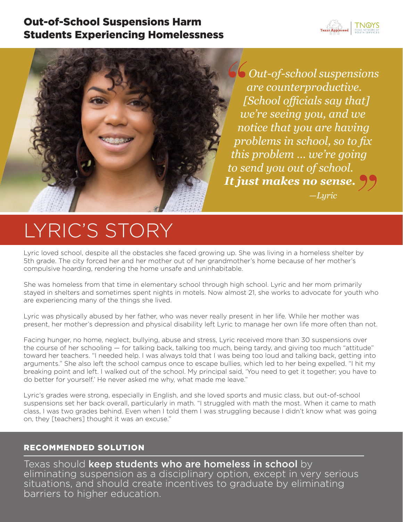# Out-of-School Suspensions Harm Students Experiencing Homelessness





*Out-of-school suspensions are counterproductive. [School officials say that] we're seeing you, and we notice that you are having problems in school, so to fix*  this problem ... we're going<br>o send you out of school.<br>**t just makes no sense. J**9 *to send you out of school. It just makes no sense. —Lyric "*

# LYRIC'S STORY

Lyric loved school, despite all the obstacles she faced growing up. She was living in a homeless shelter by 5th grade. The city forced her and her mother out of her grandmother's home because of her mother's compulsive hoarding, rendering the home unsafe and uninhabitable.

She was homeless from that time in elementary school through high school. Lyric and her mom primarily stayed in shelters and sometimes spent nights in motels. Now almost 21, she works to advocate for youth who are experiencing many of the things she lived.

Lyric was physically abused by her father, who was never really present in her life. While her mother was present, her mother's depression and physical disability left Lyric to manage her own life more often than not.

Facing hunger, no home, neglect, bullying, abuse and stress, Lyric received more than 30 suspensions over the course of her schooling — for talking back, talking too much, being tardy, and giving too much "attitude" toward her teachers. "I needed help. I was always told that I was being too loud and talking back, getting into arguments." She also left the school campus once to escape bullies, which led to her being expelled. "I hit my breaking point and left. I walked out of the school. My principal said, 'You need to get it together; you have to do better for yourself.' He never asked me why, what made me leave."

Lyric's grades were strong, especially in English, and she loved sports and music class, but out-of-school suspensions set her back overall, particularly in math. "I struggled with math the most. When it came to math class, I was two grades behind. Even when I told them I was struggling because I didn't know what was going on, they [teachers] thought it was an excuse."

## RECOMMENDED SOLUTION

Texas should keep students who are homeless in school by eliminating suspension as a disciplinary option, except in very serious situations, and should create incentives to graduate by eliminating barriers to higher education.